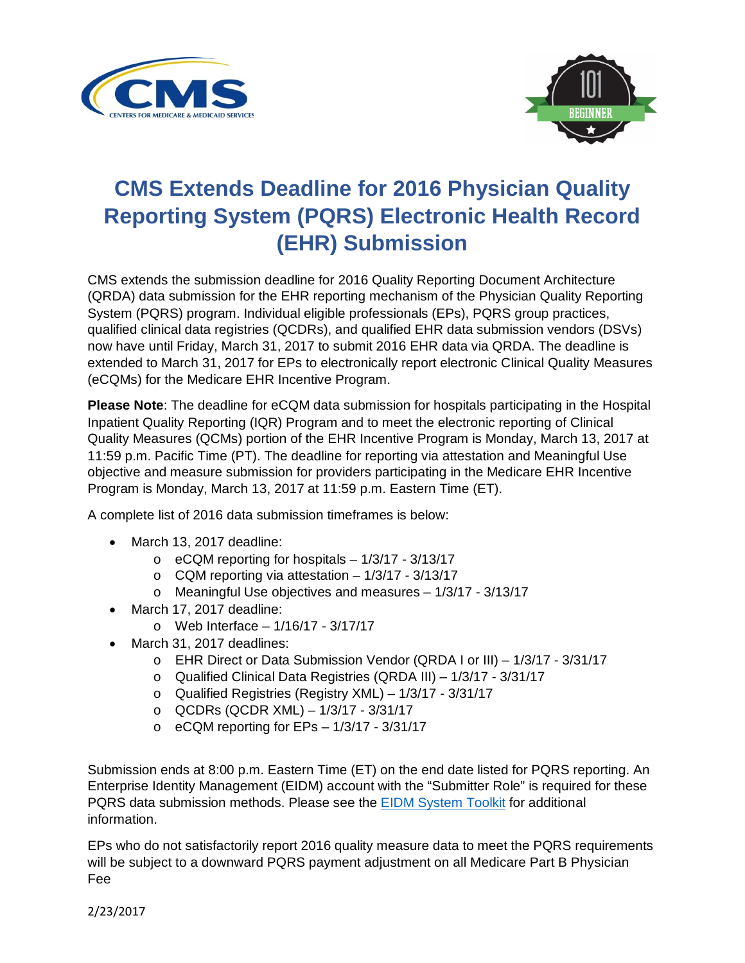



## **CMS Extends Deadline for 2016 Physician Quality Reporting System (PQRS) Electronic Health Record (EHR) Submission**

CMS extends the submission deadline for 2016 Quality Reporting Document Architecture (QRDA) data submission for the EHR reporting mechanism of the Physician Quality Reporting System (PQRS) program. Individual eligible professionals (EPs), PQRS group practices, qualified clinical data registries (QCDRs), and qualified EHR data submission vendors (DSVs) now have until Friday, March 31, 2017 to submit 2016 EHR data via QRDA. The deadline is extended to March 31, 2017 for EPs to electronically report electronic Clinical Quality Measures (eCQMs) for the Medicare EHR Incentive Program.

**Please Note**: The deadline for eCQM data submission for hospitals participating in the Hospital Inpatient Quality Reporting (IQR) Program and to meet the electronic reporting of Clinical Quality Measures (QCMs) portion of the EHR Incentive Program is Monday, March 13, 2017 at 11:59 p.m. Pacific Time (PT). The deadline for reporting via attestation and Meaningful Use objective and measure submission for providers participating in the Medicare EHR Incentive Program is Monday, March 13, 2017 at 11:59 p.m. Eastern Time (ET).

A complete list of 2016 data submission timeframes is below:

- March 13, 2017 deadline:
	- $\circ$  eCQM reporting for hospitals  $-1/3/17 3/13/17$
	- $\circ$  CQM reporting via attestation  $-1/3/17 3/13/17$
	- o Meaningful Use objectives and measures 1/3/17 3/13/17
- March 17, 2017 deadline:
	- o Web Interface 1/16/17 3/17/17
- March 31, 2017 deadlines:
	- o EHR Direct or Data Submission Vendor (QRDA I or III) 1/3/17 3/31/17
	- o Qualified Clinical Data Registries (QRDA III) 1/3/17 3/31/17
	- o Qualified Registries (Registry XML) 1/3/17 3/31/17
	- o QCDRs (QCDR XML) 1/3/17 3/31/17
	- o eCQM reporting for EPs 1/3/17 3/31/17

Submission ends at 8:00 p.m. Eastern Time (ET) on the end date listed for PQRS reporting. An Enterprise Identity Management (EIDM) account with the "Submitter Role" is required for these PQRS data submission methods. Please see th[e EIDM System Toolkit](https://www.cms.gov/Medicare/Quality-Initiatives-Patient-Assessment-Instruments/PQRS/Downloads/TheEIDMSystemToolkit.pdf) for additional information.

EPs who do not satisfactorily report 2016 quality measure data to meet the PQRS requirements will be subject to a downward PQRS payment adjustment on all Medicare Part B Physician Fee

2/23/2017